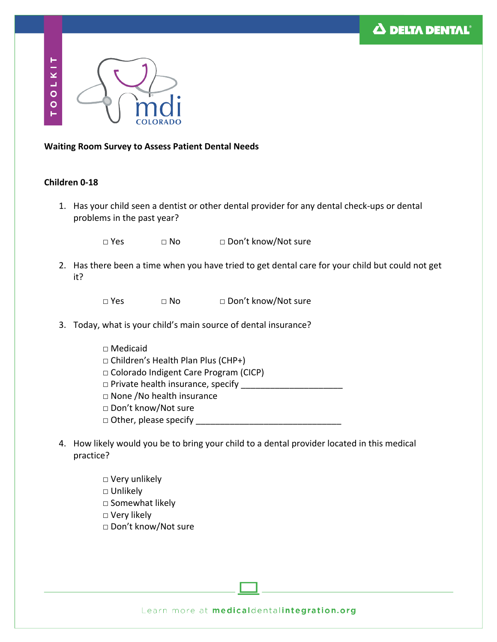



## **Waiting Room Survey to Assess Patient Dental Needs**

## **Children 0-18**

1. Has your child seen a dentist or other dental provider for any dental check-ups or dental problems in the past year?

□ Yes □ No □ Don't know/Not sure

2. Has there been a time when you have tried to get dental care for your child but could not get it?

□ Yes □ No □ Don't know/Not sure

- 3. Today, what is your child's main source of dental insurance?
	- □ Medicaid  $\Box$  Children's Health Plan Plus (CHP+) □ Colorado Indigent Care Program (CICP)  $\Box$  Private health insurance, specify □ None /No health insurance □ Don't know/Not sure  $\Box$  Other, please specify \_\_\_\_
- 4. How likely would you be to bring your child to a dental provider located in this medical practice?
	- □ Very unlikely □ Unlikely □ Somewhat likely □ Very likely □ Don't know/Not sure